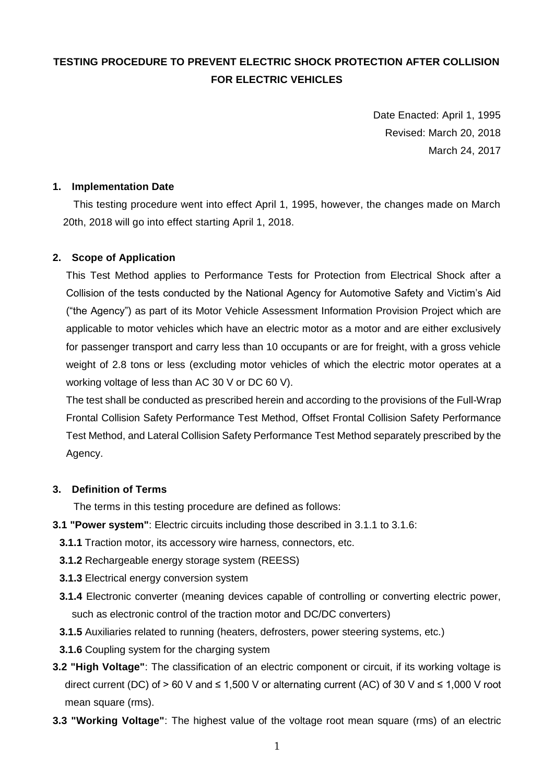# **TESTING PROCEDURE TO PREVENT ELECTRIC SHOCK PROTECTION AFTER COLLISION FOR ELECTRIC VEHICLES**

Date Enacted: April 1, 1995 Revised: March 20, 2018 March 24, 2017

# **1. Implementation Date**

 This testing procedure went into effect April 1, 1995, however, the changes made on March 20th, 2018 will go into effect starting April 1, 2018.

## **2. Scope of Application**

This Test Method applies to Performance Tests for Protection from Electrical Shock after a Collision of the tests conducted by the National Agency for Automotive Safety and Victim's Aid ("the Agency") as part of its Motor Vehicle Assessment Information Provision Project which are applicable to motor vehicles which have an electric motor as a motor and are either exclusively for passenger transport and carry less than 10 occupants or are for freight, with a gross vehicle weight of 2.8 tons or less (excluding motor vehicles of which the electric motor operates at a working voltage of less than AC 30 V or DC 60 V).

The test shall be conducted as prescribed herein and according to the provisions of the Full-Wrap Frontal Collision Safety Performance Test Method, Offset Frontal Collision Safety Performance Test Method, and Lateral Collision Safety Performance Test Method separately prescribed by the Agency.

#### **3. Definition of Terms**

The terms in this testing procedure are defined as follows:

- **3.1 "Power system"**: Electric circuits including those described in 3.1.1 to 3.1.6:
	- **3.1.1** Traction motor, its accessory wire harness, connectors, etc.
	- **3.1.2** Rechargeable energy storage system (REESS)
	- **3.1.3** Electrical energy conversion system
	- **3.1.4** Electronic converter (meaning devices capable of controlling or converting electric power, such as electronic control of the traction motor and DC/DC converters)
	- **3.1.5** Auxiliaries related to running (heaters, defrosters, power steering systems, etc.)
	- **3.1.6** Coupling system for the charging system
- **3.2 "High Voltage"**: The classification of an electric component or circuit, if its working voltage is direct current (DC) of > 60 V and ≤ 1,500 V or alternating current (AC) of 30 V and ≤ 1,000 V root mean square (rms).
- **3.3 "Working Voltage"**: The highest value of the voltage root mean square (rms) of an electric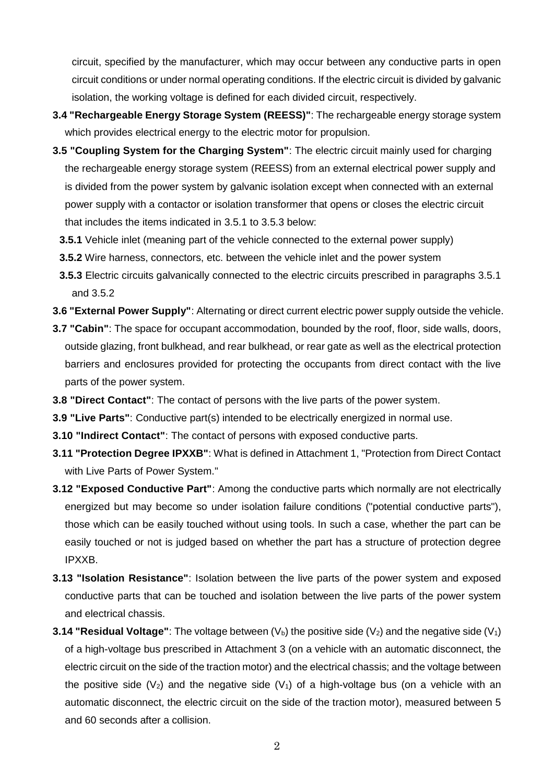circuit, specified by the manufacturer, which may occur between any conductive parts in open circuit conditions or under normal operating conditions. If the electric circuit is divided by galvanic isolation, the working voltage is defined for each divided circuit, respectively.

- **3.4 "Rechargeable Energy Storage System (REESS)"**: The rechargeable energy storage system which provides electrical energy to the electric motor for propulsion.
- **3.5 "Coupling System for the Charging System"**: The electric circuit mainly used for charging the rechargeable energy storage system (REESS) from an external electrical power supply and is divided from the power system by galvanic isolation except when connected with an external power supply with a contactor or isolation transformer that opens or closes the electric circuit that includes the items indicated in 3.5.1 to 3.5.3 below:
	- **3.5.1** Vehicle inlet (meaning part of the vehicle connected to the external power supply)
	- **3.5.2** Wire harness, connectors, etc. between the vehicle inlet and the power system
	- **3.5.3** Electric circuits galvanically connected to the electric circuits prescribed in paragraphs 3.5.1 and 3.5.2
- **3.6 "External Power Supply"**: Alternating or direct current electric power supply outside the vehicle.
- **3.7 "Cabin"**: The space for occupant accommodation, bounded by the roof, floor, side walls, doors, outside glazing, front bulkhead, and rear bulkhead, or rear gate as well as the electrical protection barriers and enclosures provided for protecting the occupants from direct contact with the live parts of the power system.
- **3.8 "Direct Contact"**: The contact of persons with the live parts of the power system.
- **3.9 "Live Parts"**: Conductive part(s) intended to be electrically energized in normal use.
- **3.10 "Indirect Contact"**: The contact of persons with exposed conductive parts.
- **3.11 "Protection Degree IPXXB"**: What is defined in Attachment 1, "Protection from Direct Contact with Live Parts of Power System."
- **3.12 "Exposed Conductive Part"**: Among the conductive parts which normally are not electrically energized but may become so under isolation failure conditions ("potential conductive parts"), those which can be easily touched without using tools. In such a case, whether the part can be easily touched or not is judged based on whether the part has a structure of protection degree IPXXB.
- **3.13 "Isolation Resistance"**: Isolation between the live parts of the power system and exposed conductive parts that can be touched and isolation between the live parts of the power system and electrical chassis.
- **3.14 "Residual Voltage":** The voltage between  $(V_b)$  the positive side  $(V_2)$  and the negative side  $(V_1)$ of a high-voltage bus prescribed in Attachment 3 (on a vehicle with an automatic disconnect, the electric circuit on the side of the traction motor) and the electrical chassis; and the voltage between the positive side ( $V_2$ ) and the negative side ( $V_1$ ) of a high-voltage bus (on a vehicle with an automatic disconnect, the electric circuit on the side of the traction motor), measured between 5 and 60 seconds after a collision.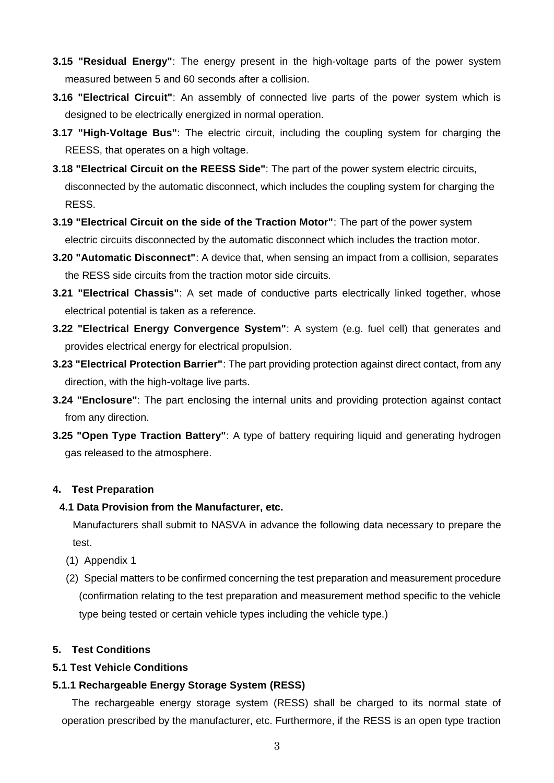- **3.15 "Residual Energy"**: The energy present in the high-voltage parts of the power system measured between 5 and 60 seconds after a collision.
- **3.16 "Electrical Circuit"**: An assembly of connected live parts of the power system which is designed to be electrically energized in normal operation.
- **3.17 "High-Voltage Bus"**: The electric circuit, including the coupling system for charging the REESS, that operates on a high voltage.
- **3.18 "Electrical Circuit on the REESS Side"**: The part of the power system electric circuits, disconnected by the automatic disconnect, which includes the coupling system for charging the RESS.
- **3.19 "Electrical Circuit on the side of the Traction Motor"**: The part of the power system electric circuits disconnected by the automatic disconnect which includes the traction motor.
- **3.20 "Automatic Disconnect"**: A device that, when sensing an impact from a collision, separates the RESS side circuits from the traction motor side circuits.
- **3.21 "Electrical Chassis"**: A set made of conductive parts electrically linked together, whose electrical potential is taken as a reference.
- **3.22 "Electrical Energy Convergence System"**: A system (e.g. fuel cell) that generates and provides electrical energy for electrical propulsion.
- **3.23 "Electrical Protection Barrier"**: The part providing protection against direct contact, from any direction, with the high-voltage live parts.
- **3.24 "Enclosure"**: The part enclosing the internal units and providing protection against contact from any direction.
- **3.25 "Open Type Traction Battery"**: A type of battery requiring liquid and generating hydrogen gas released to the atmosphere.

## **4. Test Preparation**

## **4.1 Data Provision from the Manufacturer, etc.**

Manufacturers shall submit to NASVA in advance the following data necessary to prepare the test.

- (1) Appendix 1
- (2) Special matters to be confirmed concerning the test preparation and measurement procedure (confirmation relating to the test preparation and measurement method specific to the vehicle type being tested or certain vehicle types including the vehicle type.)

#### **5. Test Conditions**

## **5.1 Test Vehicle Conditions**

## **5.1.1 Rechargeable Energy Storage System (RESS)**

The rechargeable energy storage system (RESS) shall be charged to its normal state of operation prescribed by the manufacturer, etc. Furthermore, if the RESS is an open type traction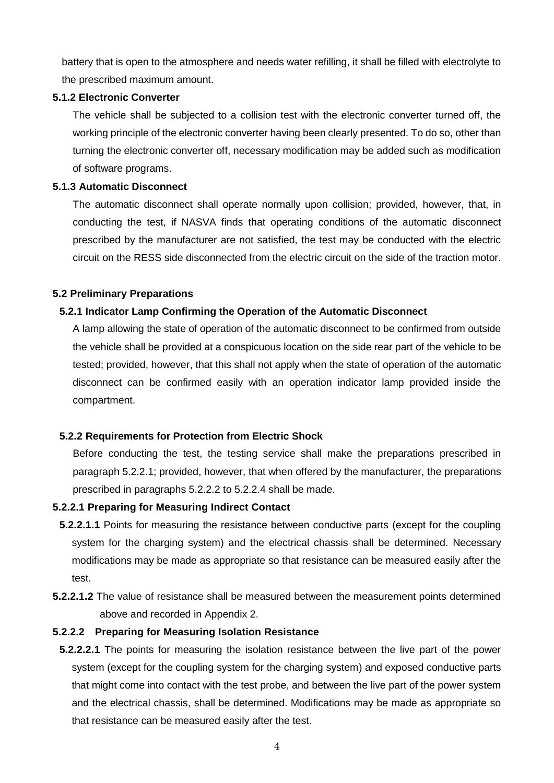battery that is open to the atmosphere and needs water refilling, it shall be filled with electrolyte to the prescribed maximum amount.

### **5.1.2 Electronic Converter**

The vehicle shall be subjected to a collision test with the electronic converter turned off, the working principle of the electronic converter having been clearly presented. To do so, other than turning the electronic converter off, necessary modification may be added such as modification of software programs.

### **5.1.3 Automatic Disconnect**

The automatic disconnect shall operate normally upon collision; provided, however, that, in conducting the test, if NASVA finds that operating conditions of the automatic disconnect prescribed by the manufacturer are not satisfied, the test may be conducted with the electric circuit on the RESS side disconnected from the electric circuit on the side of the traction motor.

### **5.2 Preliminary Preparations**

## **5.2.1 Indicator Lamp Confirming the Operation of the Automatic Disconnect**

A lamp allowing the state of operation of the automatic disconnect to be confirmed from outside the vehicle shall be provided at a conspicuous location on the side rear part of the vehicle to be tested; provided, however, that this shall not apply when the state of operation of the automatic disconnect can be confirmed easily with an operation indicator lamp provided inside the compartment.

#### **5.2.2 Requirements for Protection from Electric Shock**

Before conducting the test, the testing service shall make the preparations prescribed in paragraph 5.2.2.1; provided, however, that when offered by the manufacturer, the preparations prescribed in paragraphs 5.2.2.2 to 5.2.2.4 shall be made.

#### **5.2.2.1 Preparing for Measuring Indirect Contact**

- **5.2.2.1.1** Points for measuring the resistance between conductive parts (except for the coupling system for the charging system) and the electrical chassis shall be determined. Necessary modifications may be made as appropriate so that resistance can be measured easily after the test.
- **5.2.2.1.2** The value of resistance shall be measured between the measurement points determined above and recorded in Appendix 2.

## **5.2.2.2 Preparing for Measuring Isolation Resistance**

**5.2.2.2.1** The points for measuring the isolation resistance between the live part of the power system (except for the coupling system for the charging system) and exposed conductive parts that might come into contact with the test probe, and between the live part of the power system and the electrical chassis, shall be determined. Modifications may be made as appropriate so that resistance can be measured easily after the test.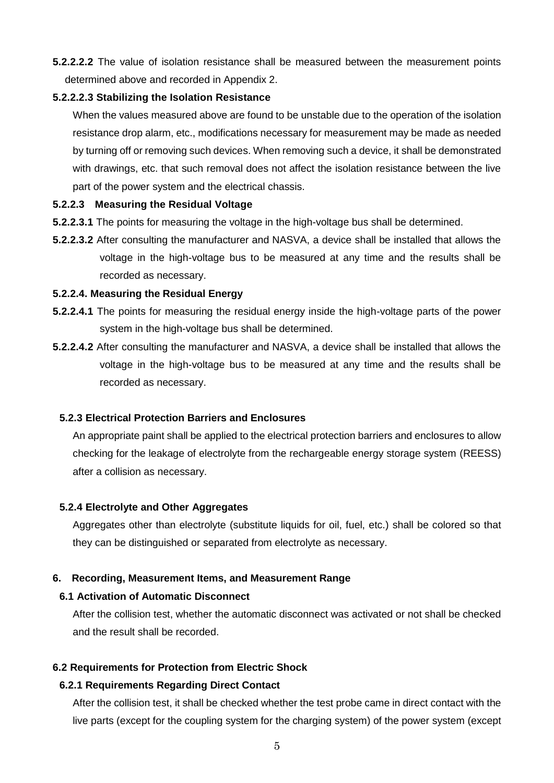**5.2.2.2.2** The value of isolation resistance shall be measured between the measurement points determined above and recorded in Appendix 2.

## **5.2.2.2.3 Stabilizing the Isolation Resistance**

When the values measured above are found to be unstable due to the operation of the isolation resistance drop alarm, etc., modifications necessary for measurement may be made as needed by turning off or removing such devices. When removing such a device, it shall be demonstrated with drawings, etc. that such removal does not affect the isolation resistance between the live part of the power system and the electrical chassis.

### **5.2.2.3 Measuring the Residual Voltage**

- **5.2.2.3.1** The points for measuring the voltage in the high-voltage bus shall be determined.
- **5.2.2.3.2** After consulting the manufacturer and NASVA, a device shall be installed that allows the voltage in the high-voltage bus to be measured at any time and the results shall be recorded as necessary.

#### **5.2.2.4. Measuring the Residual Energy**

- **5.2.2.4.1** The points for measuring the residual energy inside the high-voltage parts of the power system in the high-voltage bus shall be determined.
- **5.2.2.4.2** After consulting the manufacturer and NASVA, a device shall be installed that allows the voltage in the high-voltage bus to be measured at any time and the results shall be recorded as necessary.

#### **5.2.3 Electrical Protection Barriers and Enclosures**

An appropriate paint shall be applied to the electrical protection barriers and enclosures to allow checking for the leakage of electrolyte from the rechargeable energy storage system (REESS) after a collision as necessary.

#### **5.2.4 Electrolyte and Other Aggregates**

Aggregates other than electrolyte (substitute liquids for oil, fuel, etc.) shall be colored so that they can be distinguished or separated from electrolyte as necessary.

## **6. Recording, Measurement Items, and Measurement Range**

#### **6.1 Activation of Automatic Disconnect**

After the collision test, whether the automatic disconnect was activated or not shall be checked and the result shall be recorded.

#### **6.2 Requirements for Protection from Electric Shock**

#### **6.2.1 Requirements Regarding Direct Contact**

After the collision test, it shall be checked whether the test probe came in direct contact with the live parts (except for the coupling system for the charging system) of the power system (except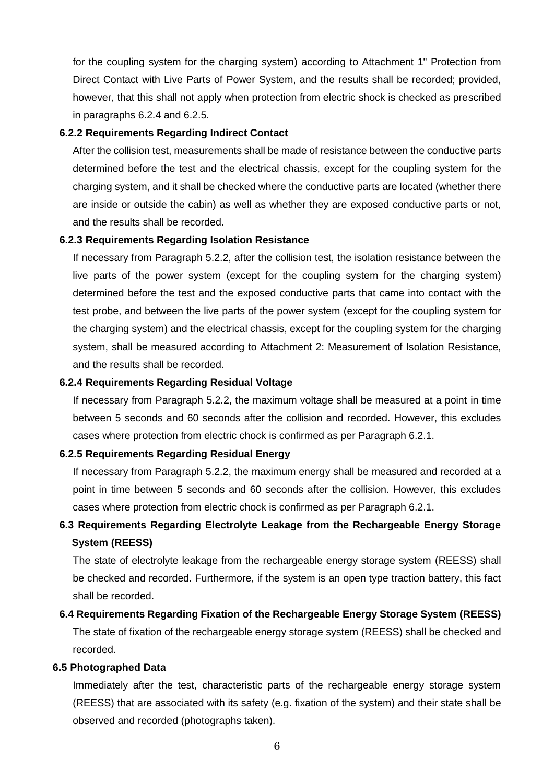for the coupling system for the charging system) according to Attachment 1" Protection from Direct Contact with Live Parts of Power System, and the results shall be recorded; provided, however, that this shall not apply when protection from electric shock is checked as prescribed in paragraphs 6.2.4 and 6.2.5.

#### **6.2.2 Requirements Regarding Indirect Contact**

After the collision test, measurements shall be made of resistance between the conductive parts determined before the test and the electrical chassis, except for the coupling system for the charging system, and it shall be checked where the conductive parts are located (whether there are inside or outside the cabin) as well as whether they are exposed conductive parts or not, and the results shall be recorded.

### **6.2.3 Requirements Regarding Isolation Resistance**

If necessary from Paragraph 5.2.2, after the collision test, the isolation resistance between the live parts of the power system (except for the coupling system for the charging system) determined before the test and the exposed conductive parts that came into contact with the test probe, and between the live parts of the power system (except for the coupling system for the charging system) and the electrical chassis, except for the coupling system for the charging system, shall be measured according to Attachment 2: Measurement of Isolation Resistance, and the results shall be recorded.

### **6.2.4 Requirements Regarding Residual Voltage**

If necessary from Paragraph 5.2.2, the maximum voltage shall be measured at a point in time between 5 seconds and 60 seconds after the collision and recorded. However, this excludes cases where protection from electric chock is confirmed as per Paragraph 6.2.1.

#### **6.2.5 Requirements Regarding Residual Energy**

If necessary from Paragraph 5.2.2, the maximum energy shall be measured and recorded at a point in time between 5 seconds and 60 seconds after the collision. However, this excludes cases where protection from electric chock is confirmed as per Paragraph 6.2.1.

# **6.3 Requirements Regarding Electrolyte Leakage from the Rechargeable Energy Storage System (REESS)**

The state of electrolyte leakage from the rechargeable energy storage system (REESS) shall be checked and recorded. Furthermore, if the system is an open type traction battery, this fact shall be recorded.

# **6.4 Requirements Regarding Fixation of the Rechargeable Energy Storage System (REESS)** The state of fixation of the rechargeable energy storage system (REESS) shall be checked and recorded.

#### **6.5 Photographed Data**

Immediately after the test, characteristic parts of the rechargeable energy storage system (REESS) that are associated with its safety (e.g. fixation of the system) and their state shall be observed and recorded (photographs taken).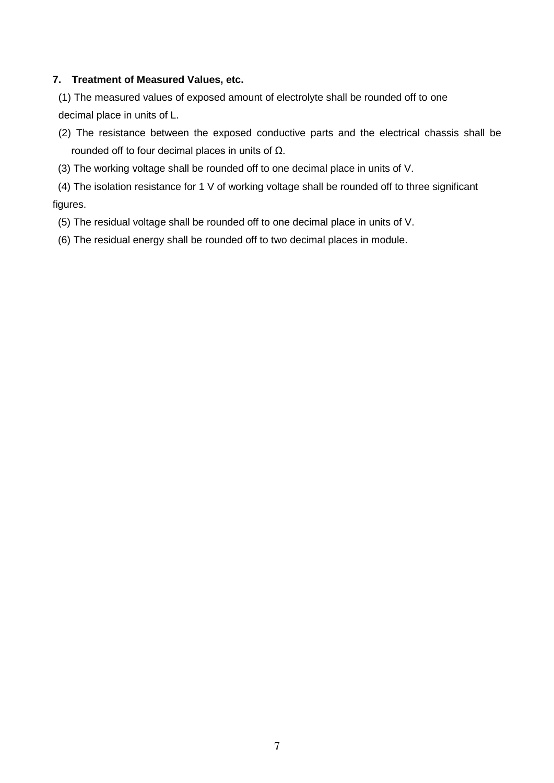## **7. Treatment of Measured Values, etc.**

(1) The measured values of exposed amount of electrolyte shall be rounded off to one decimal place in units of L.

- (2) The resistance between the exposed conductive parts and the electrical chassis shall be rounded off to four decimal places in units of Ω.
- (3) The working voltage shall be rounded off to one decimal place in units of V.

(4) The isolation resistance for 1 V of working voltage shall be rounded off to three significant figures.

- (5) The residual voltage shall be rounded off to one decimal place in units of V.
- (6) The residual energy shall be rounded off to two decimal places in module.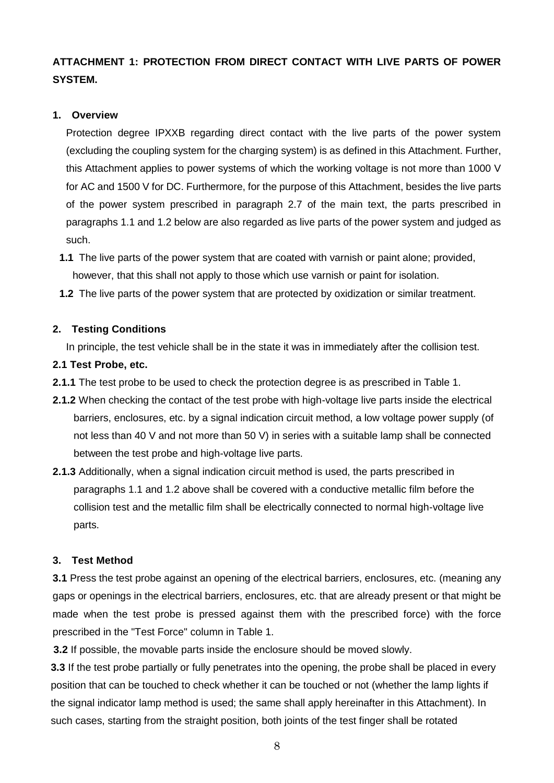# **ATTACHMENT 1: PROTECTION FROM DIRECT CONTACT WITH LIVE PARTS OF POWER SYSTEM.**

## **1. Overview**

Protection degree IPXXB regarding direct contact with the live parts of the power system (excluding the coupling system for the charging system) is as defined in this Attachment. Further, this Attachment applies to power systems of which the working voltage is not more than 1000 V for AC and 1500 V for DC. Furthermore, for the purpose of this Attachment, besides the live parts of the power system prescribed in paragraph 2.7 of the main text, the parts prescribed in paragraphs 1.1 and 1.2 below are also regarded as live parts of the power system and judged as such.

- **1.1** The live parts of the power system that are coated with varnish or paint alone; provided, however, that this shall not apply to those which use varnish or paint for isolation.
- **1.2** The live parts of the power system that are protected by oxidization or similar treatment.

## **2. Testing Conditions**

In principle, the test vehicle shall be in the state it was in immediately after the collision test.

## **2.1 Test Probe, etc.**

- **2.1.1** The test probe to be used to check the protection degree is as prescribed in Table 1.
- **2.1.2** When checking the contact of the test probe with high-voltage live parts inside the electrical barriers, enclosures, etc. by a signal indication circuit method, a low voltage power supply (of not less than 40 V and not more than 50 V) in series with a suitable lamp shall be connected between the test probe and high-voltage live parts.
- **2.1.3** Additionally, when a signal indication circuit method is used, the parts prescribed in paragraphs 1.1 and 1.2 above shall be covered with a conductive metallic film before the collision test and the metallic film shall be electrically connected to normal high-voltage live parts.

# **3. Test Method**

**3.1** Press the test probe against an opening of the electrical barriers, enclosures, etc. (meaning any gaps or openings in the electrical barriers, enclosures, etc. that are already present or that might be made when the test probe is pressed against them with the prescribed force) with the force prescribed in the "Test Force" column in Table 1.

**3.2** If possible, the movable parts inside the enclosure should be moved slowly.

**3.3** If the test probe partially or fully penetrates into the opening, the probe shall be placed in every position that can be touched to check whether it can be touched or not (whether the lamp lights if the signal indicator lamp method is used; the same shall apply hereinafter in this Attachment). In such cases, starting from the straight position, both joints of the test finger shall be rotated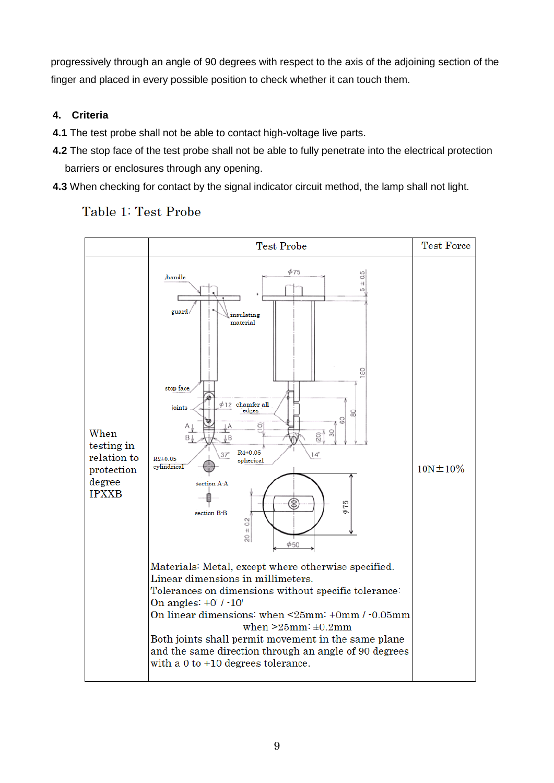progressively through an angle of 90 degrees with respect to the axis of the adjoining section of the finger and placed in every possible position to check whether it can touch them.

# **4. Criteria**

- **4.1** The test probe shall not be able to contact high-voltage live parts.
- **4.2** The stop face of the test probe shall not be able to fully penetrate into the electrical protection barriers or enclosures through any opening.
- **4.3** When checking for contact by the signal indicator circuit method, the lamp shall not light.

# Table 1: Test Probe

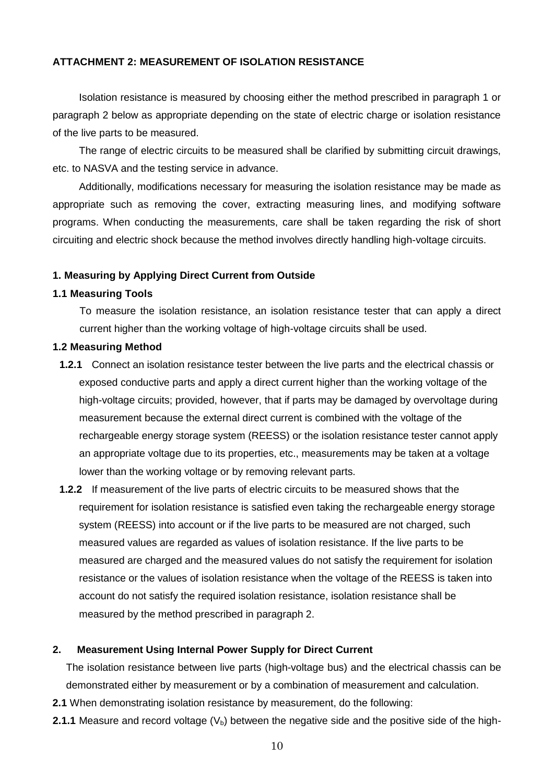### **ATTACHMENT 2: MEASUREMENT OF ISOLATION RESISTANCE**

Isolation resistance is measured by choosing either the method prescribed in paragraph 1 or paragraph 2 below as appropriate depending on the state of electric charge or isolation resistance of the live parts to be measured.

The range of electric circuits to be measured shall be clarified by submitting circuit drawings, etc. to NASVA and the testing service in advance.

Additionally, modifications necessary for measuring the isolation resistance may be made as appropriate such as removing the cover, extracting measuring lines, and modifying software programs. When conducting the measurements, care shall be taken regarding the risk of short circuiting and electric shock because the method involves directly handling high-voltage circuits.

#### **1. Measuring by Applying Direct Current from Outside**

#### **1.1 Measuring Tools**

To measure the isolation resistance, an isolation resistance tester that can apply a direct current higher than the working voltage of high-voltage circuits shall be used.

### **1.2 Measuring Method**

- **1.2.1** Connect an isolation resistance tester between the live parts and the electrical chassis or exposed conductive parts and apply a direct current higher than the working voltage of the high-voltage circuits; provided, however, that if parts may be damaged by overvoltage during measurement because the external direct current is combined with the voltage of the rechargeable energy storage system (REESS) or the isolation resistance tester cannot apply an appropriate voltage due to its properties, etc., measurements may be taken at a voltage lower than the working voltage or by removing relevant parts.
- **1.2.2** If measurement of the live parts of electric circuits to be measured shows that the requirement for isolation resistance is satisfied even taking the rechargeable energy storage system (REESS) into account or if the live parts to be measured are not charged, such measured values are regarded as values of isolation resistance. If the live parts to be measured are charged and the measured values do not satisfy the requirement for isolation resistance or the values of isolation resistance when the voltage of the REESS is taken into account do not satisfy the required isolation resistance, isolation resistance shall be measured by the method prescribed in paragraph 2.

#### **2. Measurement Using Internal Power Supply for Direct Current**

The isolation resistance between live parts (high-voltage bus) and the electrical chassis can be demonstrated either by measurement or by a combination of measurement and calculation.

- **2.1** When demonstrating isolation resistance by measurement, do the following:
- **2.1.1** Measure and record voltage  $(V_b)$  between the negative side and the positive side of the high-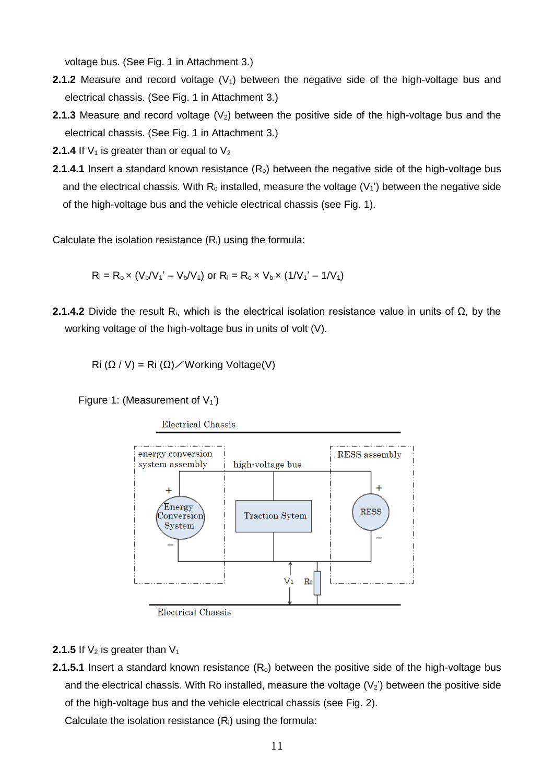voltage bus. (See Fig. 1 in Attachment 3.)

- **2.1.2** Measure and record voltage  $(V_1)$  between the negative side of the high-voltage bus and electrical chassis. (See Fig. 1 in Attachment 3.)
- **2.1.3** Measure and record voltage  $(V_2)$  between the positive side of the high-voltage bus and the electrical chassis. (See Fig. 1 in Attachment 3.)
- **2.1.4** If  $V_1$  is greater than or equal to  $V_2$
- **2.1.4.1** Insert a standard known resistance (R<sub>o</sub>) between the negative side of the high-voltage bus and the electrical chassis. With  $R_o$  installed, measure the voltage  $(V_1')$  between the negative side of the high-voltage bus and the vehicle electrical chassis (see Fig. 1).

Calculate the isolation resistance  $(R<sub>i</sub>)$  using the formula:

$$
R_i = R_o \times (V_b/V_1' - V_b/V_1)
$$
 or  $R_i = R_o \times V_b \times (1/V_1' - 1/V_1)$ 

**2.1.4.2** Divide the result Ri, which is the electrical isolation resistance value in units of Ω, by the working voltage of the high-voltage bus in units of volt (V).

Ri ( $Ω / V$ ) = Ri ( $Ω$ ) / Working Voltage(V)

Figure 1: (Measurement of  $V_1$ <sup>'</sup>)

**Electrical Chassis** 



Electrical Chassis

#### **2.1.5** If  $V_2$  is greater than  $V_1$

**2.1.5.1** Insert a standard known resistance (R<sub>o</sub>) between the positive side of the high-voltage bus and the electrical chassis. With Ro installed, measure the voltage  $(V_2)$  between the positive side of the high-voltage bus and the vehicle electrical chassis (see Fig. 2).

Calculate the isolation resistance (Ri) using the formula: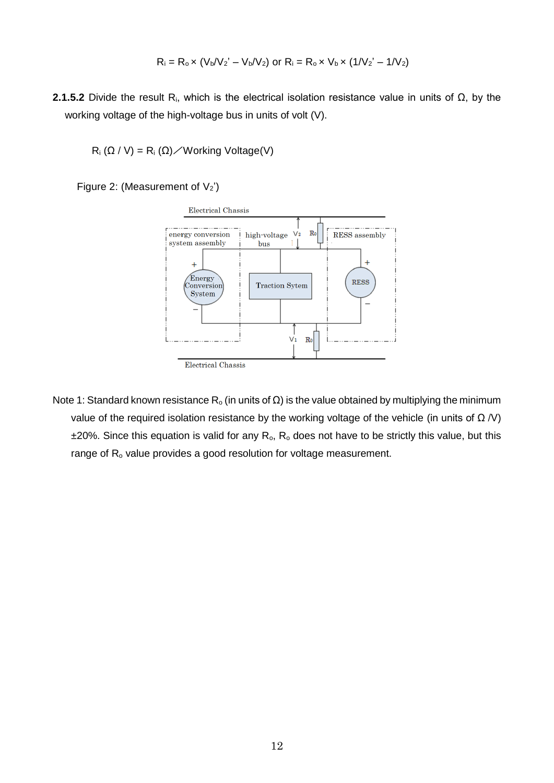$$
R_i = R_o \times (V_b/V_2' - V_b/V_2) \text{ or } R_i = R_o \times V_b \times (1/V_2' - 1/V_2)
$$

**2.1.5.2** Divide the result Ri, which is the electrical isolation resistance value in units of Ω, by the working voltage of the high-voltage bus in units of volt (V).

 $R_i$  ( $\Omega$  / V) =  $R_i$  ( $\Omega$ ) / Working Voltage(V)

Figure 2: (Measurement of  $V_2$ )



Note 1: Standard known resistance R<sub>o</sub> (in units of Ω) is the value obtained by multiplying the minimum value of the required isolation resistance by the working voltage of the vehicle (in units of  $\Omega$  /V)  $±20%$ . Since this equation is valid for any  $R_0$ ,  $R_0$  does not have to be strictly this value, but this range of R<sub>o</sub> value provides a good resolution for voltage measurement.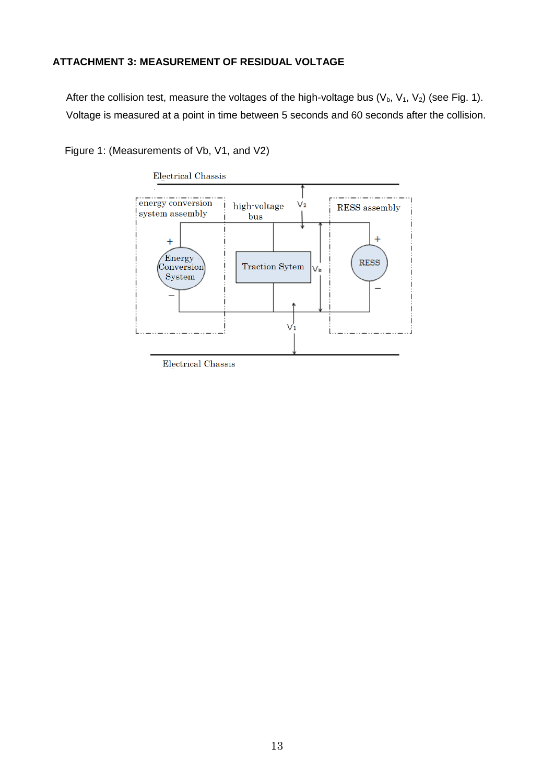## **ATTACHMENT 3: MEASUREMENT OF RESIDUAL VOLTAGE**

After the collision test, measure the voltages of the high-voltage bus  $(V_b, V_1, V_2)$  (see Fig. 1). Voltage is measured at a point in time between 5 seconds and 60 seconds after the collision.

Figure 1: (Measurements of Vb, V1, and V2)



**Electrical Chassis**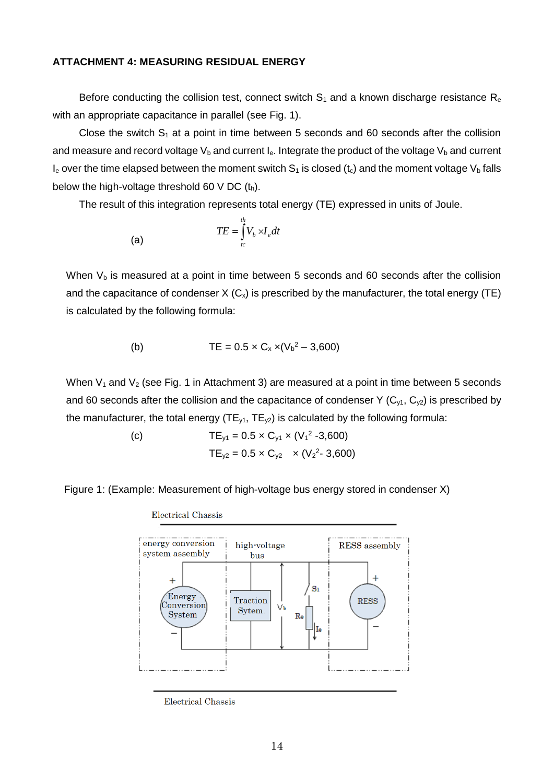#### **ATTACHMENT 4: MEASURING RESIDUAL ENERGY**

Before conducting the collision test, connect switch  $S_1$  and a known discharge resistance  $R_e$ with an appropriate capacitance in parallel (see Fig. 1).

Close the switch  $S_1$  at a point in time between 5 seconds and 60 seconds after the collision and measure and record voltage  $V_b$  and current  $I_e$ . Integrate the product of the voltage  $V_b$  and current  $I_e$  over the time elapsed between the moment switch  $S_1$  is closed (t<sub>c</sub>) and the moment voltage  $V_b$  falls below the high-voltage threshold 60 V DC  $(t_h)$ .

The result of this integration represents total energy (TE) expressed in units of Joule.

$$
(a) \hspace{3.1em} TE = \int_{t_c}^{t_h} V_b \rtimes I_e dt
$$

When  $V_b$  is measured at a point in time between 5 seconds and 60 seconds after the collision and the capacitance of condenser  $X$  ( $C_x$ ) is prescribed by the manufacturer, the total energy (TE) is calculated by the following formula:

(b) 
$$
TE = 0.5 \times C_x \times (V_b^2 - 3{,}600)
$$

When  $V_1$  and  $V_2$  (see Fig. 1 in Attachment 3) are measured at a point in time between 5 seconds and 60 seconds after the collision and the capacitance of condenser Y ( $C_{y1}$ ,  $C_{y2}$ ) is prescribed by the manufacturer, the total energy ( $TE_{y1}$ ,  $TE_{y2}$ ) is calculated by the following formula:

> (c)  $TE_{y1} = 0.5 \times C_{y1} \times (V_1^2 - 3{,}600)$  $TE_{y2} = 0.5 \times C_{y2} \times (V_2^2 - 3,600)$

Figure 1: (Example: Measurement of high-voltage bus energy stored in condenser X)

**Electrical Chassis** energy conversion high-voltage **RESS** assembly system assembly bus  $\overline{1}$  $\ddot{}$  $S<sub>1</sub>$ Energy Traction **RESS**  $_{\rm Conversion}$ V٤ **Sytem** System  $Re$ <u>. . . . . . . . . . . . . .</u>

**Electrical Chassis**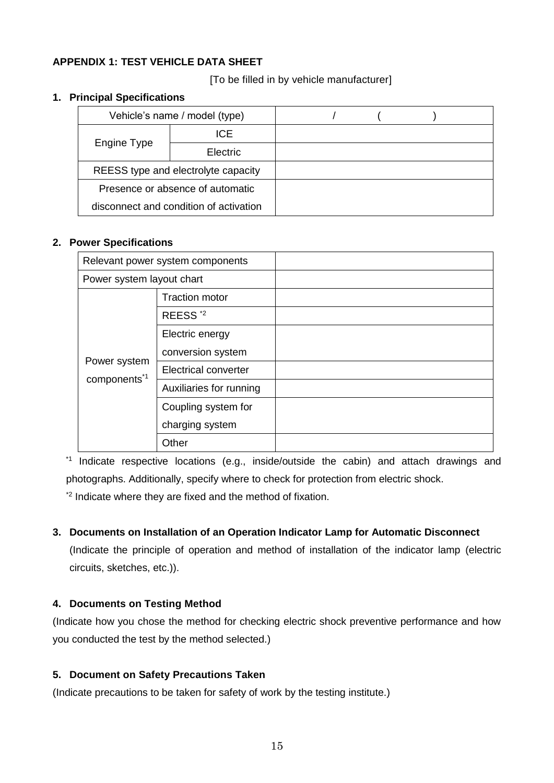# **APPENDIX 1: TEST VEHICLE DATA SHEET**

[To be filled in by vehicle manufacturer]

## **1. Principal Specifications**

| Vehicle's name / model (type)          |            |  |  |  |
|----------------------------------------|------------|--|--|--|
|                                        | <b>ICE</b> |  |  |  |
| Engine Type                            | Electric   |  |  |  |
| REESS type and electrolyte capacity    |            |  |  |  |
| Presence or absence of automatic       |            |  |  |  |
| disconnect and condition of activation |            |  |  |  |

# **2. Power Specifications**

| Relevant power system components         |                             |  |
|------------------------------------------|-----------------------------|--|
| Power system layout chart                |                             |  |
|                                          | <b>Traction motor</b>       |  |
|                                          | REESS <sup>*2</sup>         |  |
| Power system<br>components <sup>*1</sup> | Electric energy             |  |
|                                          | conversion system           |  |
|                                          | <b>Electrical converter</b> |  |
|                                          | Auxiliaries for running     |  |
|                                          | Coupling system for         |  |
|                                          | charging system             |  |
|                                          | Other                       |  |

\*1 Indicate respective locations (e.g., inside/outside the cabin) and attach drawings and photographs. Additionally, specify where to check for protection from electric shock.

\*2 Indicate where they are fixed and the method of fixation.

# **3. Documents on Installation of an Operation Indicator Lamp for Automatic Disconnect**

(Indicate the principle of operation and method of installation of the indicator lamp (electric circuits, sketches, etc.)).

# **4. Documents on Testing Method**

(Indicate how you chose the method for checking electric shock preventive performance and how you conducted the test by the method selected.)

# **5. Document on Safety Precautions Taken**

(Indicate precautions to be taken for safety of work by the testing institute.)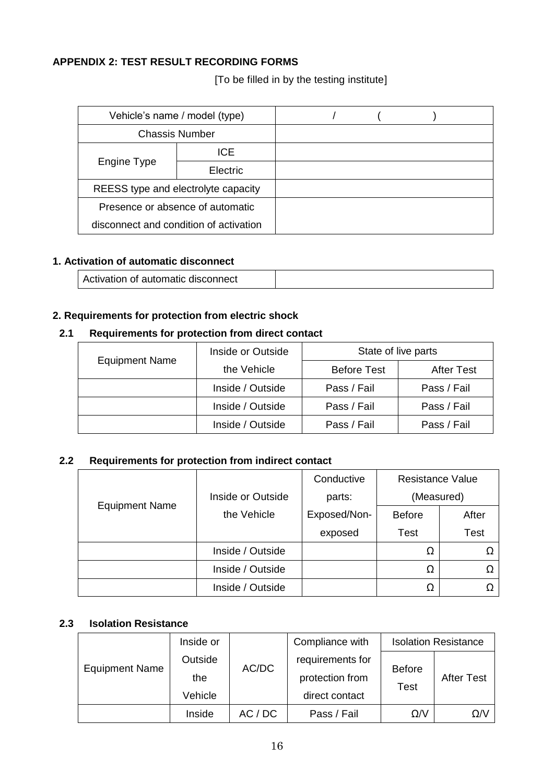# **APPENDIX 2: TEST RESULT RECORDING FORMS**

[To be filled in by the testing institute]

| Vehicle's name / model (type)       |                                        |  |  |  |
|-------------------------------------|----------------------------------------|--|--|--|
| <b>Chassis Number</b>               |                                        |  |  |  |
| Engine Type                         | ICE.                                   |  |  |  |
|                                     | Electric                               |  |  |  |
| REESS type and electrolyte capacity |                                        |  |  |  |
| Presence or absence of automatic    |                                        |  |  |  |
|                                     | disconnect and condition of activation |  |  |  |

# **1. Activation of automatic disconnect**

|  | Activation of automatic disconnect |  |
|--|------------------------------------|--|
|--|------------------------------------|--|

# **2. Requirements for protection from electric shock**

# **2.1 Requirements for protection from direct contact**

| <b>Equipment Name</b> | Inside or Outside | State of live parts |                   |
|-----------------------|-------------------|---------------------|-------------------|
|                       | the Vehicle       | <b>Before Test</b>  | <b>After Test</b> |
|                       | Inside / Outside  | Pass / Fail         | Pass / Fail       |
|                       | Inside / Outside  | Pass / Fail         | Pass / Fail       |
|                       | Inside / Outside  | Pass / Fail         | Pass / Fail       |

# **2.2 Requirements for protection from indirect contact**

|                       |                   | Conductive   | <b>Resistance Value</b> |             |
|-----------------------|-------------------|--------------|-------------------------|-------------|
|                       | Inside or Outside | parts:       | (Measured)              |             |
| <b>Equipment Name</b> | the Vehicle       | Exposed/Non- | <b>Before</b>           | After       |
|                       |                   | exposed      | Test                    | <b>Test</b> |
|                       | Inside / Outside  |              | Ω                       |             |
|                       | Inside / Outside  |              | Ω                       |             |
|                       | Inside / Outside  |              | Ω                       |             |

## **2.3 Isolation Resistance**

|                       | Inside or                 |       | Compliance with                                       |                              | <b>Isolation Resistance</b> |
|-----------------------|---------------------------|-------|-------------------------------------------------------|------------------------------|-----------------------------|
| <b>Equipment Name</b> | Outside<br>the<br>Vehicle | AC/DC | requirements for<br>protection from<br>direct contact | <b>Before</b><br><b>Test</b> | <b>After Test</b>           |
|                       |                           |       |                                                       |                              |                             |
|                       | Inside                    | AC/DC | Pass / Fail                                           | $\Omega$ /V                  | $\Omega$ /                  |